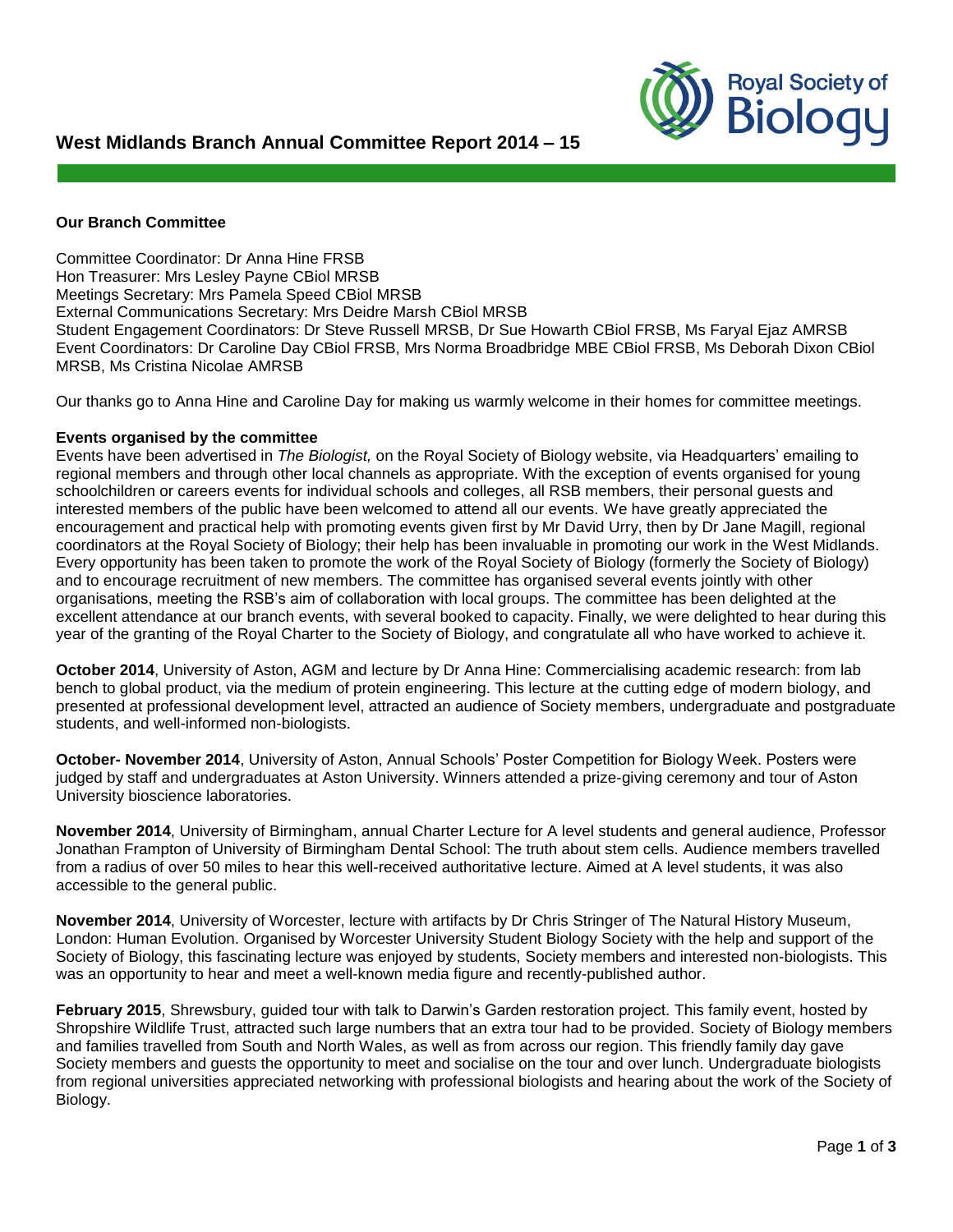# **West Midlands Branch Annual Committee Report 2014 – 15**



### **Our Branch Committee**

Committee Coordinator: Dr Anna Hine FRSB Hon Treasurer: Mrs Lesley Payne CBiol MRSB Meetings Secretary: Mrs Pamela Speed CBiol MRSB External Communications Secretary: Mrs Deidre Marsh CBiol MRSB Student Engagement Coordinators: Dr Steve Russell MRSB, Dr Sue Howarth CBiol FRSB, Ms Faryal Ejaz AMRSB Event Coordinators: Dr Caroline Day CBiol FRSB, Mrs Norma Broadbridge MBE CBiol FRSB, Ms Deborah Dixon CBiol MRSB, Ms Cristina Nicolae AMRSB

Our thanks go to Anna Hine and Caroline Day for making us warmly welcome in their homes for committee meetings.

#### **Events organised by the committee**

Events have been advertised in *The Biologist,* on the Royal Society of Biology website, via Headquarters' emailing to regional members and through other local channels as appropriate. With the exception of events organised for young schoolchildren or careers events for individual schools and colleges, all RSB members, their personal guests and interested members of the public have been welcomed to attend all our events. We have greatly appreciated the encouragement and practical help with promoting events given first by Mr David Urry, then by Dr Jane Magill, regional coordinators at the Royal Society of Biology; their help has been invaluable in promoting our work in the West Midlands. Every opportunity has been taken to promote the work of the Royal Society of Biology (formerly the Society of Biology) and to encourage recruitment of new members. The committee has organised several events jointly with other organisations, meeting the RSB's aim of collaboration with local groups. The committee has been delighted at the excellent attendance at our branch events, with several booked to capacity. Finally, we were delighted to hear during this year of the granting of the Royal Charter to the Society of Biology, and congratulate all who have worked to achieve it.

**October 2014**, University of Aston, AGM and lecture by Dr Anna Hine: Commercialising academic research: from lab bench to global product, via the medium of protein engineering. This lecture at the cutting edge of modern biology, and presented at professional development level, attracted an audience of Society members, undergraduate and postgraduate students, and well-informed non-biologists.

**October- November 2014**, University of Aston, Annual Schools' Poster Competition for Biology Week. Posters were judged by staff and undergraduates at Aston University. Winners attended a prize-giving ceremony and tour of Aston University bioscience laboratories.

**November 2014**, University of Birmingham, annual Charter Lecture for A level students and general audience, Professor Jonathan Frampton of University of Birmingham Dental School: The truth about stem cells. Audience members travelled from a radius of over 50 miles to hear this well-received authoritative lecture. Aimed at A level students, it was also accessible to the general public.

**November 2014**, University of Worcester, lecture with artifacts by Dr Chris Stringer of The Natural History Museum, London: Human Evolution. Organised by Worcester University Student Biology Society with the help and support of the Society of Biology, this fascinating lecture was enjoyed by students, Society members and interested non-biologists. This was an opportunity to hear and meet a well-known media figure and recently-published author.

**February 2015**, Shrewsbury, guided tour with talk to Darwin's Garden restoration project. This family event, hosted by Shropshire Wildlife Trust, attracted such large numbers that an extra tour had to be provided. Society of Biology members and families travelled from South and North Wales, as well as from across our region. This friendly family day gave Society members and guests the opportunity to meet and socialise on the tour and over lunch. Undergraduate biologists from regional universities appreciated networking with professional biologists and hearing about the work of the Society of Biology.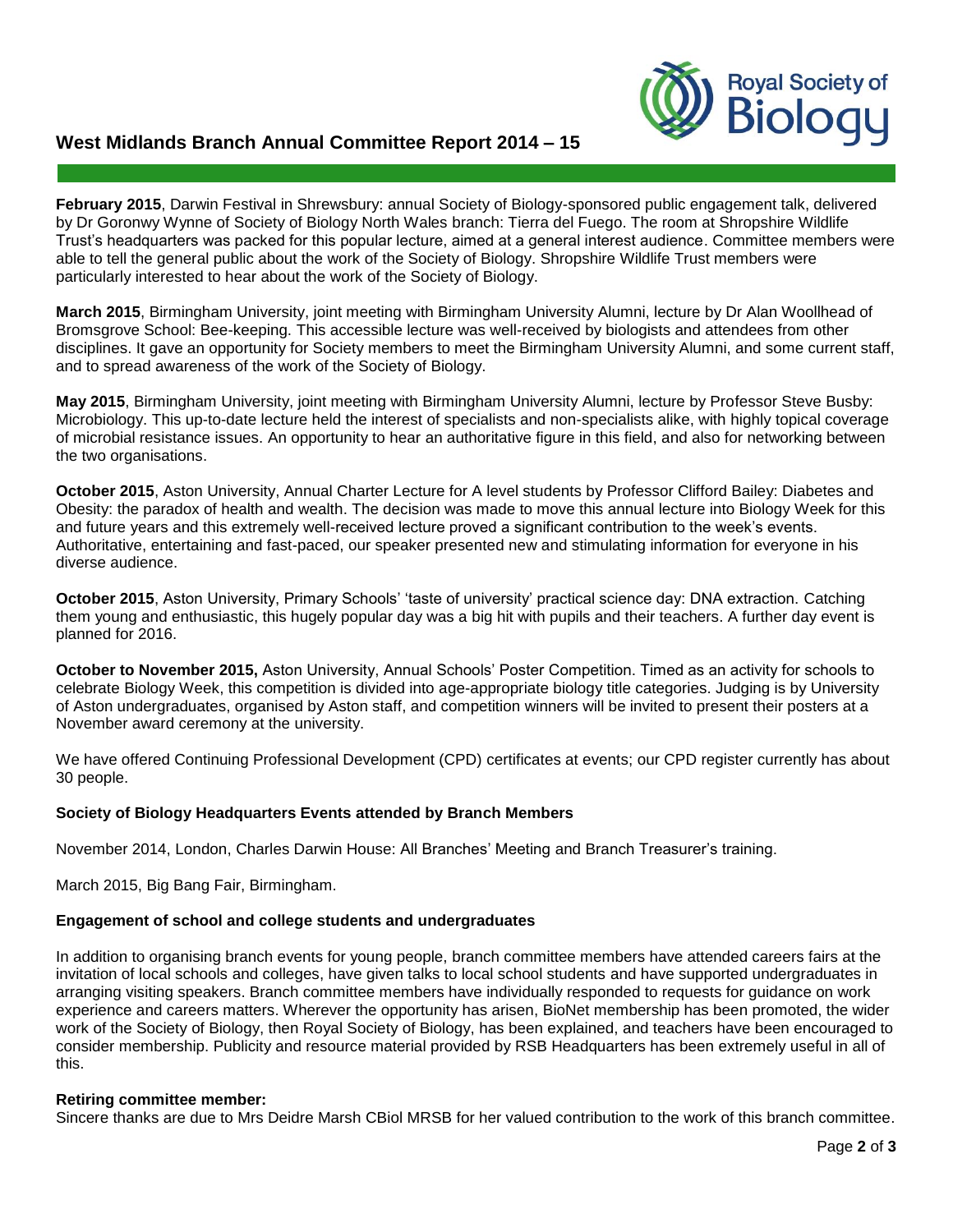## **West Midlands Branch Annual Committee Report 2014 – 15**



**February 2015**, Darwin Festival in Shrewsbury: annual Society of Biology-sponsored public engagement talk, delivered by Dr Goronwy Wynne of Society of Biology North Wales branch: Tierra del Fuego. The room at Shropshire Wildlife Trust's headquarters was packed for this popular lecture, aimed at a general interest audience. Committee members were able to tell the general public about the work of the Society of Biology. Shropshire Wildlife Trust members were particularly interested to hear about the work of the Society of Biology.

**March 2015**, Birmingham University, joint meeting with Birmingham University Alumni, lecture by Dr Alan Woollhead of Bromsgrove School: Bee-keeping. This accessible lecture was well-received by biologists and attendees from other disciplines. It gave an opportunity for Society members to meet the Birmingham University Alumni, and some current staff, and to spread awareness of the work of the Society of Biology.

**May 2015**, Birmingham University, joint meeting with Birmingham University Alumni, lecture by Professor Steve Busby: Microbiology. This up-to-date lecture held the interest of specialists and non-specialists alike, with highly topical coverage of microbial resistance issues. An opportunity to hear an authoritative figure in this field, and also for networking between the two organisations.

**October 2015**, Aston University, Annual Charter Lecture for A level students by Professor Clifford Bailey: Diabetes and Obesity: the paradox of health and wealth. The decision was made to move this annual lecture into Biology Week for this and future years and this extremely well-received lecture proved a significant contribution to the week's events. Authoritative, entertaining and fast-paced, our speaker presented new and stimulating information for everyone in his diverse audience.

**October 2015**, Aston University, Primary Schools' 'taste of university' practical science day: DNA extraction. Catching them young and enthusiastic, this hugely popular day was a big hit with pupils and their teachers. A further day event is planned for 2016.

**October to November 2015,** Aston University, Annual Schools' Poster Competition. Timed as an activity for schools to celebrate Biology Week, this competition is divided into age-appropriate biology title categories. Judging is by University of Aston undergraduates, organised by Aston staff, and competition winners will be invited to present their posters at a November award ceremony at the university.

We have offered Continuing Professional Development (CPD) certificates at events; our CPD register currently has about 30 people.

#### **Society of Biology Headquarters Events attended by Branch Members**

November 2014, London, Charles Darwin House: All Branches' Meeting and Branch Treasurer's training.

March 2015, Big Bang Fair, Birmingham.

#### **Engagement of school and college students and undergraduates**

In addition to organising branch events for young people, branch committee members have attended careers fairs at the invitation of local schools and colleges, have given talks to local school students and have supported undergraduates in arranging visiting speakers. Branch committee members have individually responded to requests for guidance on work experience and careers matters. Wherever the opportunity has arisen, BioNet membership has been promoted, the wider work of the Society of Biology, then Royal Society of Biology, has been explained, and teachers have been encouraged to consider membership. Publicity and resource material provided by RSB Headquarters has been extremely useful in all of this.

#### **Retiring committee member:**

Sincere thanks are due to Mrs Deidre Marsh CBiol MRSB for her valued contribution to the work of this branch committee.